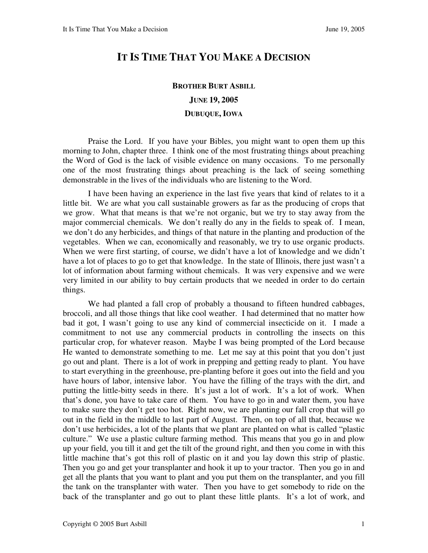## **IT IS TIME THAT YOU MAKE A DECISION**

## **BROTHER BURT ASBILL JUNE 19, 2005 DUBUQUE, IOWA**

Praise the Lord. If you have your Bibles, you might want to open them up this morning to John, chapter three. I think one of the most frustrating things about preaching the Word of God is the lack of visible evidence on many occasions. To me personally one of the most frustrating things about preaching is the lack of seeing something demonstrable in the lives of the individuals who are listening to the Word.

I have been having an experience in the last five years that kind of relates to it a little bit. We are what you call sustainable growers as far as the producing of crops that we grow. What that means is that we're not organic, but we try to stay away from the major commercial chemicals. We don't really do any in the fields to speak of. I mean, we don't do any herbicides, and things of that nature in the planting and production of the vegetables. When we can, economically and reasonably, we try to use organic products. When we were first starting, of course, we didn't have a lot of knowledge and we didn't have a lot of places to go to get that knowledge. In the state of Illinois, there just wasn't a lot of information about farming without chemicals. It was very expensive and we were very limited in our ability to buy certain products that we needed in order to do certain things.

We had planted a fall crop of probably a thousand to fifteen hundred cabbages, broccoli, and all those things that like cool weather. I had determined that no matter how bad it got, I wasn't going to use any kind of commercial insecticide on it. I made a commitment to not use any commercial products in controlling the insects on this particular crop, for whatever reason. Maybe I was being prompted of the Lord because He wanted to demonstrate something to me. Let me say at this point that you don't just go out and plant. There is a lot of work in prepping and getting ready to plant. You have to start everything in the greenhouse, pre-planting before it goes out into the field and you have hours of labor, intensive labor. You have the filling of the trays with the dirt, and putting the little-bitty seeds in there. It's just a lot of work. It's a lot of work. When that's done, you have to take care of them. You have to go in and water them, you have to make sure they don't get too hot. Right now, we are planting our fall crop that will go out in the field in the middle to last part of August. Then, on top of all that, because we don't use herbicides, a lot of the plants that we plant are planted on what is called "plastic culture." We use a plastic culture farming method. This means that you go in and plow up your field, you till it and get the tilt of the ground right, and then you come in with this little machine that's got this roll of plastic on it and you lay down this strip of plastic. Then you go and get your transplanter and hook it up to your tractor. Then you go in and get all the plants that you want to plant and you put them on the transplanter, and you fill the tank on the transplanter with water. Then you have to get somebody to ride on the back of the transplanter and go out to plant these little plants. It's a lot of work, and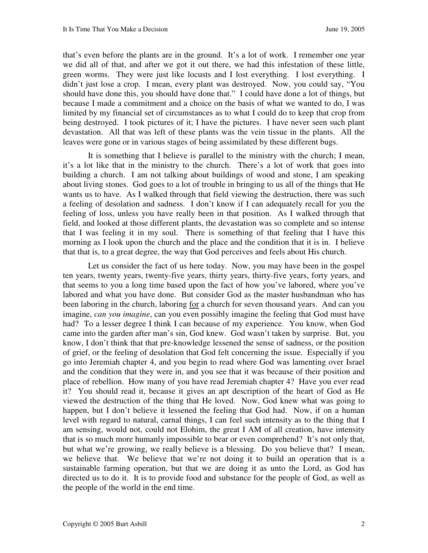that's even before the plants are in the ground. It's a lot of work. I remember one year we did all of that, and after we got it out there, we had this infestation of these little, green worms. They were just like locusts and I lost everything. I lost everything. I didn't just lose a crop. I mean, every plant was destroyed. Now, you could say, "You should have done this, you should have done that." I could have done a lot of things, but because I made a commitment and a choice on the basis of what we wanted to do, I was limited by my financial set of circumstances as to what I could do to keep that crop from being destroyed. I took pictures of it; I have the pictures. I have never seen such plant devastation. All that was left of these plants was the vein tissue in the plants. All the leaves were gone or in various stages of being assimilated by these different bugs.

It is something that I believe is parallel to the ministry with the church; I mean, it's a lot like that in the ministry to the church. There's a lot of work that goes into building a church. I am not talking about buildings of wood and stone, I am speaking about living stones. God goes to a lot of trouble in bringing to us all of the things that He wants us to have. As I walked through that field viewing the destruction, there was such a feeling of desolation and sadness. I don't know if I can adequately recall for you the feeling of loss, unless you have really been in that position. As I walked through that field, and looked at those different plants, the devastation was so complete and so intense that I was feeling it in my soul. There is something of that feeling that I have this morning as I look upon the church and the place and the condition that it is in. I believe that that is, to a great degree, the way that God perceives and feels about His church.

Let us consider the fact of us here today. Now, you may have been in the gospel ten years, twenty years, twenty-five years, thirty years, thirty-five years, forty years, and that seems to you a long time based upon the fact of how you've labored, where you've labored and what you have done. But consider God as the master husbandman who has been laboring in the church, laboring for a church for seven thousand years. And can you imagine, *can you imagine*, can you even possibly imagine the feeling that God must have had? To a lesser degree I think I can because of my experience. You know, when God came into the garden after man's sin, God knew. God wasn't taken by surprise. But, you know, I don't think that that pre-knowledge lessened the sense of sadness, or the position of grief, or the feeling of desolation that God felt concerning the issue. Especially if you go into Jeremiah chapter 4, and you begin to read where God was lamenting over Israel and the condition that they were in, and you see that it was because of their position and place of rebellion. How many of you have read Jeremiah chapter 4? Have you ever read it? You should read it, because it gives an apt description of the heart of God as He viewed the destruction of the thing that He loved. Now, God knew what was going to happen, but I don't believe it lessened the feeling that God had. Now, if on a human level with regard to natural, carnal things, I can feel such intensity as to the thing that I am sensing, would not, could not Elohim, the great I AM of all creation, have intensity that is so much more humanly impossible to bear or even comprehend? It's not only that, but what we're growing, we really believe is a blessing. Do you believe that? I mean, we believe that. We believe that we're not doing it to build an operation that is a sustainable farming operation, but that we are doing it as unto the Lord, as God has directed us to do it. It is to provide food and substance for the people of God, as well as the people of the world in the end time.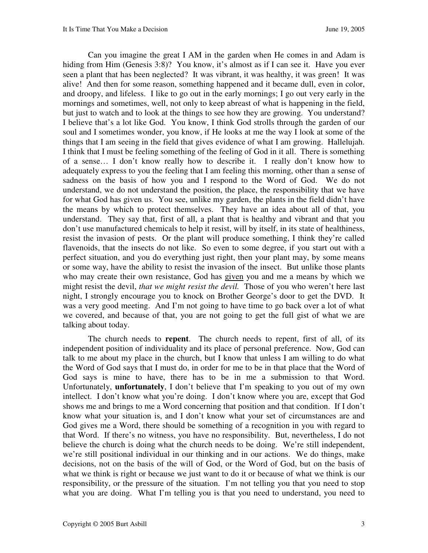Can you imagine the great I AM in the garden when He comes in and Adam is hiding from Him (Genesis 3:8)? You know, it's almost as if I can see it. Have you ever seen a plant that has been neglected? It was vibrant, it was healthy, it was green! It was alive! And then for some reason, something happened and it became dull, even in color, and droopy, and lifeless. I like to go out in the early mornings; I go out very early in the mornings and sometimes, well, not only to keep abreast of what is happening in the field, but just to watch and to look at the things to see how they are growing. You understand? I believe that's a lot like God. You know, I think God strolls through the garden of our soul and I sometimes wonder, you know, if He looks at me the way I look at some of the things that I am seeing in the field that gives evidence of what I am growing. Hallelujah. I think that I must be feeling something of the feeling of God in it all. There is something of a sense… I don't know really how to describe it. I really don't know how to adequately express to you the feeling that I am feeling this morning, other than a sense of sadness on the basis of how you and I respond to the Word of God. We do not understand, we do not understand the position, the place, the responsibility that we have for what God has given us. You see, unlike my garden, the plants in the field didn't have the means by which to protect themselves. They have an idea about all of that, you understand. They say that, first of all, a plant that is healthy and vibrant and that you don't use manufactured chemicals to help it resist, will by itself, in its state of healthiness, resist the invasion of pests. Or the plant will produce something, I think they're called flavenoids, that the insects do not like. So even to some degree, if you start out with a perfect situation, and you do everything just right, then your plant may, by some means or some way, have the ability to resist the invasion of the insect. But unlike those plants who may create their own resistance, God has given you and me a means by which we might resist the devil, *that we might resist the devil.* Those of you who weren't here last night, I strongly encourage you to knock on Brother George's door to get the DVD. It was a very good meeting. And I'm not going to have time to go back over a lot of what we covered, and because of that, you are not going to get the full gist of what we are talking about today.

The church needs to **repent**. The church needs to repent, first of all, of its independent position of individuality and its place of personal preference. Now, God can talk to me about my place in the church, but I know that unless I am willing to do what the Word of God says that I must do, in order for me to be in that place that the Word of God says is mine to have, there has to be in me a submission to that Word. Unfortunately, **unfortunately**, I don't believe that I'm speaking to you out of my own intellect. I don't know what you're doing. I don't know where you are, except that God shows me and brings to me a Word concerning that position and that condition. If I don't know what your situation is, and I don't know what your set of circumstances are and God gives me a Word, there should be something of a recognition in you with regard to that Word. If there's no witness, you have no responsibility. But, nevertheless, I do not believe the church is doing what the church needs to be doing. We're still independent, we're still positional individual in our thinking and in our actions. We do things, make decisions, not on the basis of the will of God, or the Word of God, but on the basis of what we think is right or because we just want to do it or because of what we think is our responsibility, or the pressure of the situation. I'm not telling you that you need to stop what you are doing. What I'm telling you is that you need to understand, you need to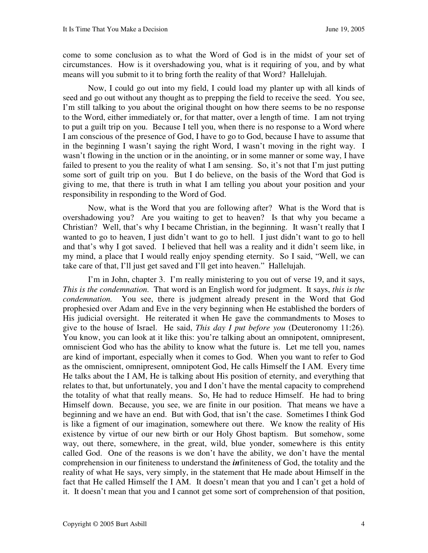come to some conclusion as to what the Word of God is in the midst of your set of circumstances. How is it overshadowing you, what is it requiring of you, and by what means will you submit to it to bring forth the reality of that Word? Hallelujah.

Now, I could go out into my field, I could load my planter up with all kinds of seed and go out without any thought as to prepping the field to receive the seed. You see, I'm still talking to you about the original thought on how there seems to be no response to the Word, either immediately or, for that matter, over a length of time. I am not trying to put a guilt trip on you. Because I tell you, when there is no response to a Word where I am conscious of the presence of God, I have to go to God, because I have to assume that in the beginning I wasn't saying the right Word, I wasn't moving in the right way. I wasn't flowing in the unction or in the anointing, or in some manner or some way, I have failed to present to you the reality of what I am sensing. So, it's not that I'm just putting some sort of guilt trip on you. But I do believe, on the basis of the Word that God is giving to me, that there is truth in what I am telling you about your position and your responsibility in responding to the Word of God.

Now, what is the Word that you are following after? What is the Word that is overshadowing you? Are you waiting to get to heaven? Is that why you became a Christian? Well, that's why I became Christian, in the beginning. It wasn't really that I wanted to go to heaven, I just didn't want to go to hell. I just didn't want to go to hell and that's why I got saved. I believed that hell was a reality and it didn't seem like, in my mind, a place that I would really enjoy spending eternity. So I said, "Well, we can take care of that, I'll just get saved and I'll get into heaven." Hallelujah.

I'm in John, chapter 3. I'm really ministering to you out of verse 19, and it says, *This is the condemnation.* That word is an English word for judgment. It says, *this is the condemnation.* You see, there is judgment already present in the Word that God prophesied over Adam and Eve in the very beginning when He established the borders of His judicial oversight. He reiterated it when He gave the commandments to Moses to give to the house of Israel. He said, *This day I put before you* (Deuteronomy 11:26)*.* You know, you can look at it like this: you're talking about an omnipotent, omnipresent, omniscient God who has the ability to know what the future is. Let me tell you, names are kind of important, especially when it comes to God. When you want to refer to God as the omniscient, omnipresent, omnipotent God, He calls Himself the I AM. Every time He talks about the I AM, He is talking about His position of eternity, and everything that relates to that, but unfortunately, you and I don't have the mental capacity to comprehend the totality of what that really means. So, He had to reduce Himself. He had to bring Himself down. Because, you see, we are finite in our position. That means we have a beginning and we have an end. But with God, that isn't the case. Sometimes I think God is like a figment of our imagination, somewhere out there. We know the reality of His existence by virtue of our new birth or our Holy Ghost baptism. But somehow, some way, out there, somewhere, in the great, wild, blue yonder, somewhere is this entity called God. One of the reasons is we don't have the ability, we don't have the mental comprehension in our finiteness to understand the *in*finiteness of God, the totality and the reality of what He says, very simply, in the statement that He made about Himself in the fact that He called Himself the I AM. It doesn't mean that you and I can't get a hold of it. It doesn't mean that you and I cannot get some sort of comprehension of that position,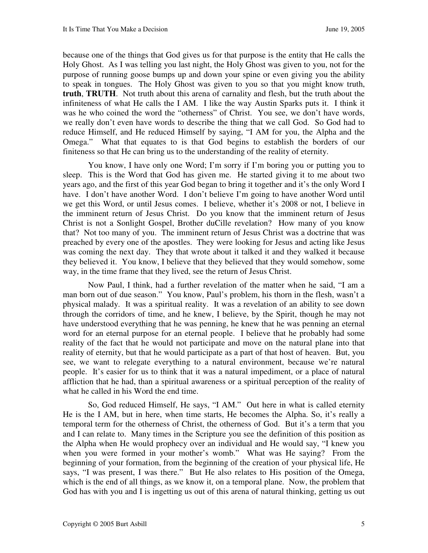because one of the things that God gives us for that purpose is the entity that He calls the Holy Ghost. As I was telling you last night, the Holy Ghost was given to you, not for the purpose of running goose bumps up and down your spine or even giving you the ability to speak in tongues. The Holy Ghost was given to you so that you might know truth, **truth**, **TRUTH**. Not truth about this arena of carnality and flesh, but the truth about the infiniteness of what He calls the I AM. I like the way Austin Sparks puts it. I think it was he who coined the word the "otherness" of Christ. You see, we don't have words, we really don't even have words to describe the thing that we call God. So God had to reduce Himself, and He reduced Himself by saying, "I AM for you, the Alpha and the Omega." What that equates to is that God begins to establish the borders of our finiteness so that He can bring us to the understanding of the reality of eternity.

You know, I have only one Word; I'm sorry if I'm boring you or putting you to sleep. This is the Word that God has given me. He started giving it to me about two years ago, and the first of this year God began to bring it together and it's the only Word I have. I don't have another Word. I don't believe I'm going to have another Word until we get this Word, or until Jesus comes. I believe, whether it's 2008 or not, I believe in the imminent return of Jesus Christ. Do you know that the imminent return of Jesus Christ is not a Sonlight Gospel, Brother duCille revelation? How many of you know that? Not too many of you. The imminent return of Jesus Christ was a doctrine that was preached by every one of the apostles. They were looking for Jesus and acting like Jesus was coming the next day. They that wrote about it talked it and they walked it because they believed it. You know, I believe that they believed that they would somehow, some way, in the time frame that they lived, see the return of Jesus Christ.

Now Paul, I think, had a further revelation of the matter when he said, "I am a man born out of due season." You know, Paul's problem, his thorn in the flesh, wasn't a physical malady. It was a spiritual reality. It was a revelation of an ability to see down through the corridors of time, and he knew, I believe, by the Spirit, though he may not have understood everything that he was penning, he knew that he was penning an eternal word for an eternal purpose for an eternal people. I believe that he probably had some reality of the fact that he would not participate and move on the natural plane into that reality of eternity, but that he would participate as a part of that host of heaven. But, you see, we want to relegate everything to a natural environment, because we're natural people. It's easier for us to think that it was a natural impediment, or a place of natural affliction that he had, than a spiritual awareness or a spiritual perception of the reality of what he called in his Word the end time.

So, God reduced Himself, He says, "I AM." Out here in what is called eternity He is the I AM, but in here, when time starts, He becomes the Alpha. So, it's really a temporal term for the otherness of Christ, the otherness of God. But it's a term that you and I can relate to. Many times in the Scripture you see the definition of this position as the Alpha when He would prophecy over an individual and He would say, "I knew you when you were formed in your mother's womb." What was He saying? From the beginning of your formation, from the beginning of the creation of your physical life, He says, "I was present, I was there." But He also relates to His position of the Omega, which is the end of all things, as we know it, on a temporal plane. Now, the problem that God has with you and I is ingetting us out of this arena of natural thinking, getting us out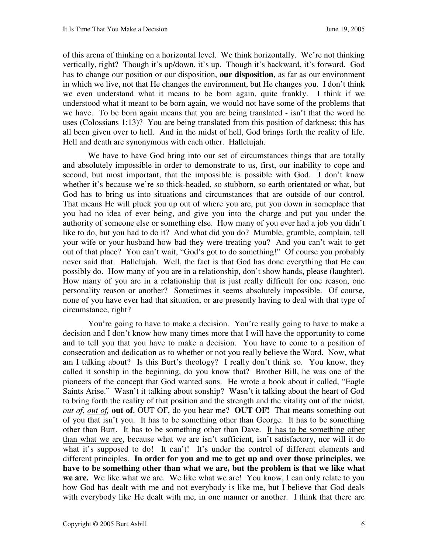of this arena of thinking on a horizontal level. We think horizontally. We're not thinking vertically, right? Though it's up/down, it's up. Though it's backward, it's forward. God has to change our position or our disposition, **our disposition**, as far as our environment in which we live, not that He changes the environment, but He changes you. I don't think we even understand what it means to be born again, quite frankly. I think if we understood what it meant to be born again, we would not have some of the problems that we have. To be born again means that you are being translated - isn't that the word he uses (Colossians 1:13)? You are being translated from this position of darkness; this has all been given over to hell. And in the midst of hell, God brings forth the reality of life. Hell and death are synonymous with each other. Hallelujah.

We have to have God bring into our set of circumstances things that are totally and absolutely impossible in order to demonstrate to us, first, our inability to cope and second, but most important, that the impossible is possible with God. I don't know whether it's because we're so thick-headed, so stubborn, so earth orientated or what, but God has to bring us into situations and circumstances that are outside of our control. That means He will pluck you up out of where you are, put you down in someplace that you had no idea of ever being, and give you into the charge and put you under the authority of someone else or something else. How many of you ever had a job you didn't like to do, but you had to do it? And what did you do? Mumble, grumble, complain, tell your wife or your husband how bad they were treating you? And you can't wait to get out of that place? You can't wait, "God's got to do something!" Of course you probably never said that. Hallelujah. Well, the fact is that God has done everything that He can possibly do. How many of you are in a relationship, don't show hands, please (laughter). How many of you are in a relationship that is just really difficult for one reason, one personality reason or another? Sometimes it seems absolutely impossible. Of course, none of you have ever had that situation, or are presently having to deal with that type of circumstance, right?

You're going to have to make a decision. You're really going to have to make a decision and I don't know how many times more that I will have the opportunity to come and to tell you that you have to make a decision. You have to come to a position of consecration and dedication as to whether or not you really believe the Word. Now, what am I talking about? Is this Burt's theology? I really don't think so. You know, they called it sonship in the beginning, do you know that? Brother Bill, he was one of the pioneers of the concept that God wanted sons. He wrote a book about it called, "Eagle Saints Arise." Wasn't it talking about sonship? Wasn't it talking about the heart of God to bring forth the reality of that position and the strength and the vitality out of the midst, *out of, out of,* **out of**, OUT OF, do you hear me? **OUT OF!** That means something out of you that isn't you. It has to be something other than George. It has to be something other than Burt. It has to be something other than Dave. It has to be something other than what we are, because what we are isn't sufficient, isn't satisfactory, nor will it do what it's supposed to do! It can't! It's under the control of different elements and different principles. **In order for you and me to get up and over those principles, we have to be something other than what we are, but the problem is that we like what we are.** We like what we are. We like what we are! You know, I can only relate to you how God has dealt with me and not everybody is like me, but I believe that God deals with everybody like He dealt with me, in one manner or another. I think that there are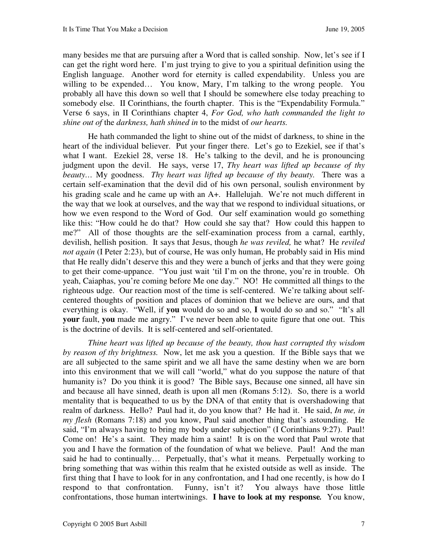many besides me that are pursuing after a Word that is called sonship. Now, let's see if I can get the right word here. I'm just trying to give to you a spiritual definition using the English language. Another word for eternity is called expendability. Unless you are willing to be expended... You know, Mary, I'm talking to the wrong people. You probably all have this down so well that I should be somewhere else today preaching to somebody else. II Corinthians, the fourth chapter. This is the "Expendability Formula." Verse 6 says, in II Corinthians chapter 4, *For God, who hath commanded the light to shine out of* the *darkness, hath shined in* to the midst of *our hearts.*

He hath commanded the light to shine out of the midst of darkness, to shine in the heart of the individual believer. Put your finger there. Let's go to Ezekiel, see if that's what I want. Ezekiel 28, verse 18. He's talking to the devil, and he is pronouncing judgment upon the devil. He says, verse 17, *Thy heart was lifted up because of thy beauty…* My goodness. *Thy heart was lifted up because of thy beauty.* There was a certain self-examination that the devil did of his own personal, soulish environment by his grading scale and he came up with an A+. Hallelujah. We're not much different in the way that we look at ourselves, and the way that we respond to individual situations, or how we even respond to the Word of God. Our self examination would go something like this: "How could he do that? How could she say that? How could this happen to me?" All of those thoughts are the self-examination process from a carnal, earthly, devilish, hellish position. It says that Jesus, though *he was reviled,* he what? He *reviled not again* (I Peter 2:23), but of course, He was only human, He probably said in His mind that He really didn't deserve this and they were a bunch of jerks and that they were going to get their come-uppance. "You just wait 'til I'm on the throne, you're in trouble. Oh yeah, Caiaphas, you're coming before Me one day." NO! He committed all things to the righteous udge. Our reaction most of the time is self-centered. We're talking about selfcentered thoughts of position and places of dominion that we believe are ours, and that everything is okay. "Well, if **you** would do so and so, **I** would do so and so." "It's all **your** fault, **you** made me angry." I've never been able to quite figure that one out. This is the doctrine of devils. It is self-centered and self-orientated.

*Thine heart was lifted up because of the beauty, thou hast corrupted thy wisdom by reason of thy brightness.* Now, let me ask you a question. If the Bible says that we are all subjected to the same spirit and we all have the same destiny when we are born into this environment that we will call "world," what do you suppose the nature of that humanity is? Do you think it is good? The Bible says, Because one sinned, all have sin and because all have sinned, death is upon all men (Romans 5:12). So, there is a world mentality that is bequeathed to us by the DNA of that entity that is overshadowing that realm of darkness. Hello? Paul had it, do you know that? He had it. He said, *In me, in my flesh* (Romans 7:18) and you know, Paul said another thing that's astounding. He said, "I'm always having to bring my body under subjection" (I Corinthians 9:27). Paul! Come on! He's a saint. They made him a saint! It is on the word that Paul wrote that you and I have the formation of the foundation of what we believe. Paul! And the man said he had to continually… Perpetually, that's what it means. Perpetually working to bring something that was within this realm that he existed outside as well as inside. The first thing that I have to look for in any confrontation, and I had one recently, is how do I respond to that confrontation. Funny, isn't it? You always have those little confrontations, those human intertwinings. **I have to look at my response***.* You know,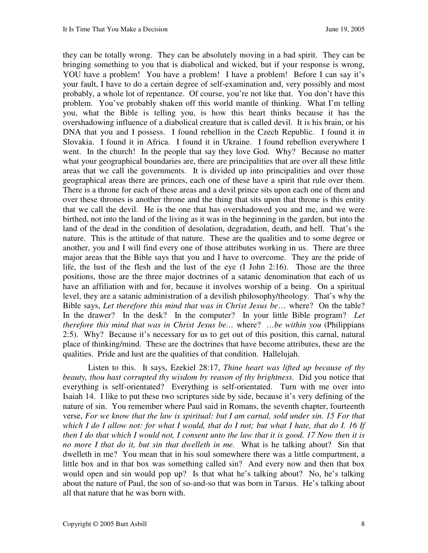they can be totally wrong. They can be absolutely moving in a bad spirit. They can be bringing something to you that is diabolical and wicked, but if your response is wrong, YOU have a problem! You have a problem! I have a problem! Before I can say it's your fault, I have to do a certain degree of self-examination and, very possibly and most probably, a whole lot of repentance. Of course, you're not like that. You don't have this problem. You've probably shaken off this world mantle of thinking. What I'm telling you, what the Bible is telling you, is how this heart thinks because it has the overshadowing influence of a diabolical creature that is called devil. It is his brain, or his DNA that you and I possess. I found rebellion in the Czech Republic. I found it in Slovakia. I found it in Africa. I found it in Ukraine. I found rebellion everywhere I went. In the church! In the people that say they love God. Why? Because no matter what your geographical boundaries are, there are principalities that are over all these little areas that we call the governments. It is divided up into principalities and over those geographical areas there are princes, each one of these have a spirit that rule over them. There is a throne for each of these areas and a devil prince sits upon each one of them and over these thrones is another throne and the thing that sits upon that throne is this entity that we call the devil. He is the one that has overshadowed you and me, and we were birthed, not into the land of the living as it was in the beginning in the garden, but into the land of the dead in the condition of desolation, degradation, death, and hell. That's the nature. This is the attitude of that nature. These are the qualities and to some degree or another, you and I will find every one of those attributes working in us. There are three major areas that the Bible says that you and I have to overcome. They are the pride of life, the lust of the flesh and the lust of the eye (I John 2:16). Those are the three positions, those are the three major doctrines of a satanic denomination that each of us have an affiliation with and for, because it involves worship of a being. On a spiritual level, they are a satanic administration of a devilish philosophy/theology. That's why the Bible says, *Let therefore this mind that was in Christ Jesus be*… where? On the table? In the drawer? In the desk? In the computer? In your little Bible program? *Let therefore this mind that was in Christ Jesus be…* where? *…be within you* (Philippians 2:5). Why? Because it's necessary for us to get out of this position, this carnal, natural place of thinking/mind. These are the doctrines that have become attributes, these are the qualities. Pride and lust are the qualities of that condition. Hallelujah.

Listen to this. It says, Ezekiel 28:17, *Thine heart was lifted up because of thy beauty, thou hast corrupted thy wisdom by reason of thy brightness.* Did you notice that everything is self-orientated? Everything is self-orientated. Turn with me over into Isaiah 14. I like to put these two scriptures side by side, because it's very defining of the nature of sin. You remember where Paul said in Romans, the seventh chapter, fourteenth verse, *For we know that the law is spiritual: but I am carnal, sold under sin. 15 For that which I do I allow not: for what I would, that do I not; but what I hate, that do I. 16 If then I do that which I would not, I consent unto the law that it is good. 17 Now then it is no more I that do it, but sin that dwelleth in me.* What is he talking about? Sin that dwelleth in me? You mean that in his soul somewhere there was a little compartment, a little box and in that box was something called sin? And every now and then that box would open and sin would pop up? Is that what he's talking about? No, he's talking about the nature of Paul, the son of so-and-so that was born in Tarsus. He's talking about all that nature that he was born with.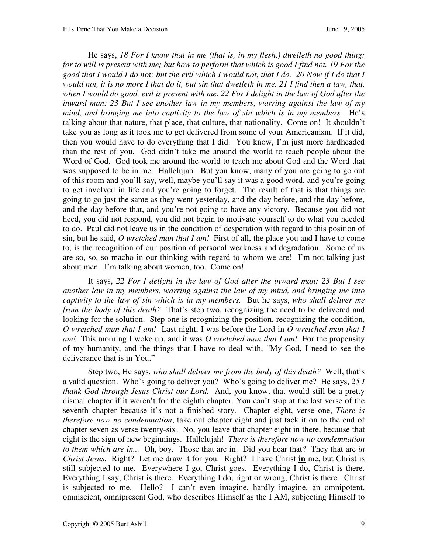He says, *18 For I know that in me (that is, in my flesh,) dwelleth no good thing: for to will is present with me; but how to perform that which is good I find not. 19 For the good that I would I do not: but the evil which I would not, that I do. 20 Now if I do that I would not, it is no more I that do it, but sin that dwelleth in me. 21 I find then a law, that, when I would do good, evil is present with me. 22 For I delight in the law of God after the inward man: 23 But I see another law in my members, warring against the law of my mind, and bringing me into captivity to the law of sin which is in my members.*He's talking about that nature, that place, that culture, that nationality. Come on! It shouldn't take you as long as it took me to get delivered from some of your Americanism. If it did, then you would have to do everything that I did. You know, I'm just more hardheaded than the rest of you. God didn't take me around the world to teach people about the Word of God. God took me around the world to teach me about God and the Word that was supposed to be in me. Hallelujah. But you know, many of you are going to go out of this room and you'll say, well, maybe you'll say it was a good word, and you're going to get involved in life and you're going to forget. The result of that is that things are going to go just the same as they went yesterday, and the day before, and the day before, and the day before that, and you're not going to have any victory. Because you did not heed, you did not respond, you did not begin to motivate yourself to do what you needed to do. Paul did not leave us in the condition of desperation with regard to this position of sin, but he said, *O wretched man that I am!*First of all, the place you and I have to come to, is the recognition of our position of personal weakness and degradation. Some of us are so, so, so macho in our thinking with regard to whom we are! I'm not talking just about men. I'm talking about women, too. Come on!

It says, *22 For I delight in the law of God after the inward man: 23 But I see another law in my members, warring against the law of my mind, and bringing me into captivity to the law of sin which is in my members.*But he says, *who shall deliver me from the body of this death?* That's step two, recognizing the need to be delivered and looking for the solution. Step one is recognizing the position, recognizing the condition, *O wretched man that I am!* Last night, I was before the Lord in *O wretched man that I am!* This morning I woke up, and it was *O wretched man that I am!* For the propensity of my humanity, and the things that I have to deal with, "My God, I need to see the deliverance that is in You."

Step two, He says, *who shall deliver me from the body of this death?* Well, that's a valid question. Who's going to deliver you? Who's going to deliver me? He says, *25 I thank God through Jesus Christ our Lord.*And, you know, that would still be a pretty dismal chapter if it weren't for the eighth chapter. You can't stop at the last verse of the seventh chapter because it's not a finished story. Chapter eight, verse one, *There is therefore now no condemnation*, take out chapter eight and just tack it on to the end of chapter seven as verse twenty-six. No, you leave that chapter eight in there, because that eight is the sign of new beginnings. Hallelujah! *There is therefore now no condemnation to them which are in...* Oh, boy. Those that are in. Did you hear that? They that are *in Christ Jesus.* Right? Let me draw it for you. Right? I have Christ **in** me, but Christ is still subjected to me. Everywhere I go, Christ goes. Everything I do, Christ is there. Everything I say, Christ is there. Everything I do, right or wrong, Christ is there. Christ is subjected to me. Hello? I can't even imagine, hardly imagine, an omnipotent, omniscient, omnipresent God, who describes Himself as the I AM, subjecting Himself to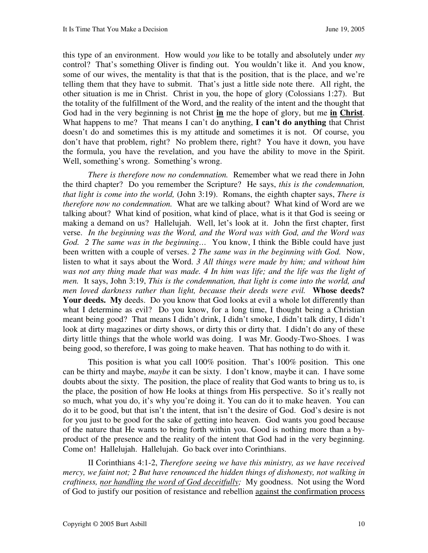this type of an environment. How would *you* like to be totally and absolutely under *my* control? That's something Oliver is finding out. You wouldn't like it. And you know, some of our wives, the mentality is that that is the position, that is the place, and we're telling them that they have to submit. That's just a little side note there. All right, the other situation is me in Christ. Christ in you, the hope of glory (Colossians 1:27). But the totality of the fulfillment of the Word, and the reality of the intent and the thought that God had in the very beginning is not Christ **in** me the hope of glory, but me **in Christ**. What happens to me? That means I can't do anything, **I can't do anything** that Christ doesn't do and sometimes this is my attitude and sometimes it is not. Of course, you don't have that problem, right? No problem there, right? You have it down, you have the formula, you have the revelation, and you have the ability to move in the Spirit. Well, something's wrong. Something's wrong.

*There is therefore now no condemnation.* Remember what we read there in John the third chapter? Do you remember the Scripture? He says, *this is the condemnation, that light is come into the world,* (John 3:19). Romans, the eighth chapter says, *There is therefore now no condemnation.* What are we talking about? What kind of Word are we talking about? What kind of position, what kind of place, what is it that God is seeing or making a demand on us? Hallelujah. Well, let's look at it. John the first chapter, first verse. *In the beginning was the Word, and the Word was with God, and the Word was God. 2 The same was in the beginning…* You know, I think the Bible could have just been written with a couple of verses. *2 The same was in the beginning with God.* Now, listen to what it says about the Word. *3 All things were made by him; and without him*  was not any thing made that was made. 4 In him was life; and the life was the light of *men.* It says, John 3:19, *This is the condemnation, that light is come into the world, and men loved darkness rather than light, because their deeds were evil.* **Whose deeds? Your deeds.** My deeds. Do you know that God looks at evil a whole lot differently than what I determine as evil? Do you know, for a long time, I thought being a Christian meant being good? That means I didn't drink, I didn't smoke, I didn't talk dirty, I didn't look at dirty magazines or dirty shows, or dirty this or dirty that. I didn't do any of these dirty little things that the whole world was doing. I was Mr. Goody-Two-Shoes. I was being good, so therefore, I was going to make heaven. That has nothing to do with it.

This position is what you call 100% position. That's 100% position. This one can be thirty and maybe, *maybe* it can be sixty. I don't know, maybe it can. I have some doubts about the sixty. The position, the place of reality that God wants to bring us to, is the place, the position of how He looks at things from His perspective. So it's really not so much, what you do, it's why you're doing it. You can do it to make heaven. You can do it to be good, but that isn't the intent, that isn't the desire of God. God's desire is not for you just to be good for the sake of getting into heaven. God wants you good because of the nature that He wants to bring forth within you. Good is nothing more than a byproduct of the presence and the reality of the intent that God had in the very beginning. Come on! Hallelujah. Hallelujah. Go back over into Corinthians.

II Corinthians 4:1-2, *Therefore seeing we have this ministry, as we have received mercy, we faint not; 2 But have renounced the hidden things of dishonesty, not walking in craftiness, nor handling the word of God deceitfully;* My goodness. Not using the Word of God to justify our position of resistance and rebellion against the confirmation process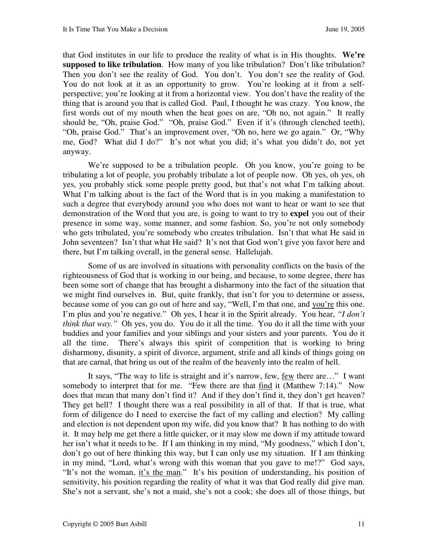that God institutes in our life to produce the reality of what is in His thoughts. **We're supposed to like tribulation**. How many of you like tribulation? Don't like tribulation? Then you don't see the reality of God. You don't. You don't see the reality of God. You do not look at it as an opportunity to grow. You're looking at it from a selfperspective; you're looking at it from a horizontal view. You don't have the reality of the thing that is around you that is called God. Paul, I thought he was crazy. You know, the first words out of my mouth when the heat goes on are, "Oh no, not again." It really should be, "Oh, praise God." "Oh, praise God." Even if it's (through clenched teeth), "Oh, praise God." That's an improvement over, "Oh no, here we go again." Or, "Why me, God? What did I do?" It's not what you did; it's what you didn't do, not yet anyway.

We're supposed to be a tribulation people. Oh you know, you're going to be tribulating a lot of people, you probably tribulate a lot of people now. Oh yes, oh yes, oh yes, you probably stick some people pretty good, but that's not what I'm talking about. What I'm talking about is the fact of the Word that is in you making a manifestation to such a degree that everybody around you who does not want to hear or want to see that demonstration of the Word that you are, is going to want to try to **expel** you out of their presence in some way, some manner, and some fashion. So, you're not only somebody who gets tribulated, you're somebody who creates tribulation. Isn't that what He said in John seventeen? Isn't that what He said? It's not that God won't give you favor here and there, but I'm talking overall, in the general sense. Hallelujah.

Some of us are involved in situations with personality conflicts on the basis of the righteousness of God that is working in our being, and because, to some degree, there has been some sort of change that has brought a disharmony into the fact of the situation that we might find ourselves in. But, quite frankly, that isn't for you to determine or assess, because some of you can go out of here and say, "Well, I'm that one, and you're this one. I'm plus and you're negative." Oh yes, I hear it in the Spirit already. You hear, *"I don't think that way."* Oh yes, you do. You do it all the time. You do it all the time with your buddies and your families and your siblings and your sisters and your parents. You do it all the time. There's always this spirit of competition that is working to bring disharmony, disunity, a spirit of divorce, argument, strife and all kinds of things going on that are carnal, that bring us out of the realm of the heavenly into the realm of hell.

It says, "The way to life is straight and it's narrow, few, few there are…" I want somebody to interpret that for me. "Few there are that find it (Matthew 7:14)." Now does that mean that many don't find it? And if they don't find it, they don't get heaven? They get hell? I thought there was a real possibility in all of that. If that is true, what form of diligence do I need to exercise the fact of my calling and election? My calling and election is not dependent upon my wife, did you know that? It has nothing to do with it. It may help me get there a little quicker, or it may slow me down if my attitude toward her isn't what it needs to be. If I am thinking in my mind, "My goodness," which I don't, don't go out of here thinking this way, but I can only use my situation. If I am thinking in my mind, "Lord, what's wrong with this woman that you gave to me!?" God says, "It's not the woman, it's the man." It's his position of understanding, his position of sensitivity, his position regarding the reality of what it was that God really did give man. She's not a servant, she's not a maid, she's not a cook; she does all of those things, but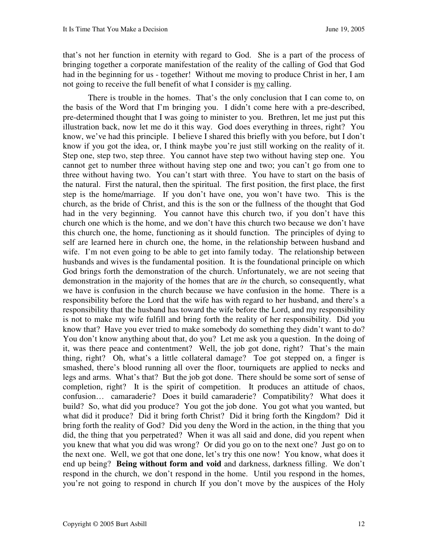that's not her function in eternity with regard to God. She is a part of the process of bringing together a corporate manifestation of the reality of the calling of God that God had in the beginning for us - together! Without me moving to produce Christ in her, I am not going to receive the full benefit of what I consider is my calling.

There is trouble in the homes. That's the only conclusion that I can come to, on the basis of the Word that I'm bringing you. I didn't come here with a pre-described, pre-determined thought that I was going to minister to you. Brethren, let me just put this illustration back, now let me do it this way. God does everything in threes, right? You know, we've had this principle. I believe I shared this briefly with you before, but I don't know if you got the idea, or, I think maybe you're just still working on the reality of it. Step one, step two, step three. You cannot have step two without having step one. You cannot get to number three without having step one and two; you can't go from one to three without having two. You can't start with three. You have to start on the basis of the natural. First the natural, then the spiritual. The first position, the first place, the first step is the home/marriage. If you don't have one, you won't have two. This is the church, as the bride of Christ, and this is the son or the fullness of the thought that God had in the very beginning. You cannot have this church two, if you don't have this church one which is the home, and we don't have this church two because we don't have this church one, the home, functioning as it should function. The principles of dying to self are learned here in church one, the home, in the relationship between husband and wife. I'm not even going to be able to get into family today. The relationship between husbands and wives is the fundamental position. It is the foundational principle on which God brings forth the demonstration of the church. Unfortunately, we are not seeing that demonstration in the majority of the homes that are *in* the church, so consequently, what we have is confusion in the church because we have confusion in the home. There is a responsibility before the Lord that the wife has with regard to her husband, and there's a responsibility that the husband has toward the wife before the Lord, and my responsibility is not to make my wife fulfill and bring forth the reality of her responsibility. Did you know that? Have you ever tried to make somebody do something they didn't want to do? You don't know anything about that, do you? Let me ask you a question. In the doing of it, was there peace and contentment? Well, the job got done, right? That's the main thing, right? Oh, what's a little collateral damage? Toe got stepped on, a finger is smashed, there's blood running all over the floor, tourniquets are applied to necks and legs and arms. What's that? But the job got done. There should be some sort of sense of completion, right? It is the spirit of competition. It produces an attitude of chaos, confusion… camaraderie? Does it build camaraderie? Compatibility? What does it build? So, what did you produce? You got the job done. You got what you wanted, but what did it produce? Did it bring forth Christ? Did it bring forth the Kingdom? Did it bring forth the reality of God? Did you deny the Word in the action, in the thing that you did, the thing that you perpetrated? When it was all said and done, did you repent when you knew that what you did was wrong? Or did you go on to the next one? Just go on to the next one. Well, we got that one done, let's try this one now! You know, what does it end up being? **Being without form and void** and darkness, darkness filling. We don't respond in the church, we don't respond in the home. Until you respond in the homes, you're not going to respond in church If you don't move by the auspices of the Holy